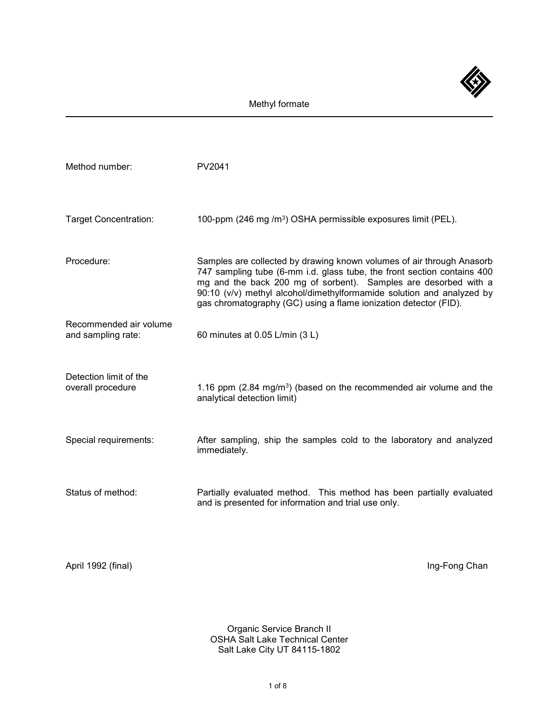

| Method number:                               | PV2041                                                                                                                                                                                                                                                                                                                                                           |
|----------------------------------------------|------------------------------------------------------------------------------------------------------------------------------------------------------------------------------------------------------------------------------------------------------------------------------------------------------------------------------------------------------------------|
| <b>Target Concentration:</b>                 | 100-ppm (246 mg /m <sup>3</sup> ) OSHA permissible exposures limit (PEL).                                                                                                                                                                                                                                                                                        |
| Procedure:                                   | Samples are collected by drawing known volumes of air through Anasorb<br>747 sampling tube (6-mm i.d. glass tube, the front section contains 400<br>mg and the back 200 mg of sorbent). Samples are desorbed with a<br>90:10 (v/v) methyl alcohol/dimethylformamide solution and analyzed by<br>gas chromatography (GC) using a flame ionization detector (FID). |
| Recommended air volume<br>and sampling rate: | 60 minutes at 0.05 L/min (3 L)                                                                                                                                                                                                                                                                                                                                   |
| Detection limit of the<br>overall procedure  | 1.16 ppm $(2.84 \text{ mg/m}^3)$ (based on the recommended air volume and the<br>analytical detection limit)                                                                                                                                                                                                                                                     |
| Special requirements:                        | After sampling, ship the samples cold to the laboratory and analyzed<br>immediately.                                                                                                                                                                                                                                                                             |
| Status of method:                            | Partially evaluated method. This method has been partially evaluated<br>and is presented for information and trial use only.                                                                                                                                                                                                                                     |

April 1992 (final) and the state of the state of the state of the state of the state of the state of the state of the state of the state of the state of the state of the state of the state of the state of the state of the

Organic Service Branch II OSHA Salt Lake Technical Center Salt Lake City UT 84115-1802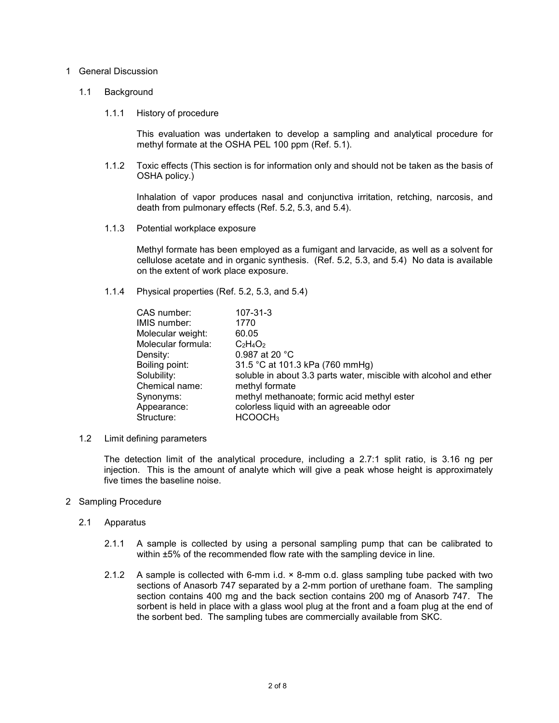## 1 General Discussion

## 1.1 Background

## 1.1.1 History of procedure

This evaluation was undertaken to develop a sampling and analytical procedure for methyl formate at the OSHA PEL 100 ppm (Ref. 5.1).

1.1.2 Toxic effects (This section is for information only and should not be taken as the basis of OSHA policy.)

Inhalation of vapor produces nasal and conjunctiva irritation, retching, narcosis, and death from pulmonary effects (Ref. 5.2, 5.3, and 5.4).

1.1.3 Potential workplace exposure

Methyl formate has been employed as a fumigant and larvacide, as well as a solvent for cellulose acetate and in organic synthesis. (Ref. 5.2, 5.3, and 5.4) No data is available on the extent of work place exposure.

1.1.4 Physical properties (Ref. 5.2, 5.3, and 5.4)

| CAS number:        | 107-31-3                                                          |
|--------------------|-------------------------------------------------------------------|
| IMIS number:       | 1770                                                              |
| Molecular weight:  | 60.05                                                             |
| Molecular formula: | $C_2H_4O_2$                                                       |
| Density:           | 0.987 at 20 °C                                                    |
| Boiling point:     | 31.5 °C at 101.3 kPa (760 mmHg)                                   |
| Solubility:        | soluble in about 3.3 parts water, miscible with alcohol and ether |
| Chemical name:     | methyl formate                                                    |
| Synonyms:          | methyl methanoate; formic acid methyl ester                       |
| Appearance:        | colorless liquid with an agreeable odor                           |
| Structure:         | HCOOCH <sub>3</sub>                                               |

1.2 Limit defining parameters

The detection limit of the analytical procedure, including a 2.7:1 split ratio, is 3.16 ng per injection. This is the amount of analyte which will give a peak whose height is approximately five times the baseline noise.

- 2 Sampling Procedure
	- 2.1 Apparatus
		- 2.1.1 A sample is collected by using a personal sampling pump that can be calibrated to within  $±5%$  of the recommended flow rate with the sampling device in line.
		- 2.1.2 A sample is collected with 6-mm i.d. × 8-mm o.d. glass sampling tube packed with two sections of Anasorb 747 separated by a 2-mm portion of urethane foam. The sampling section contains 400 mg and the back section contains 200 mg of Anasorb 747. The sorbent is held in place with a glass wool plug at the front and a foam plug at the end of the sorbent bed. The sampling tubes are commercially available from SKC.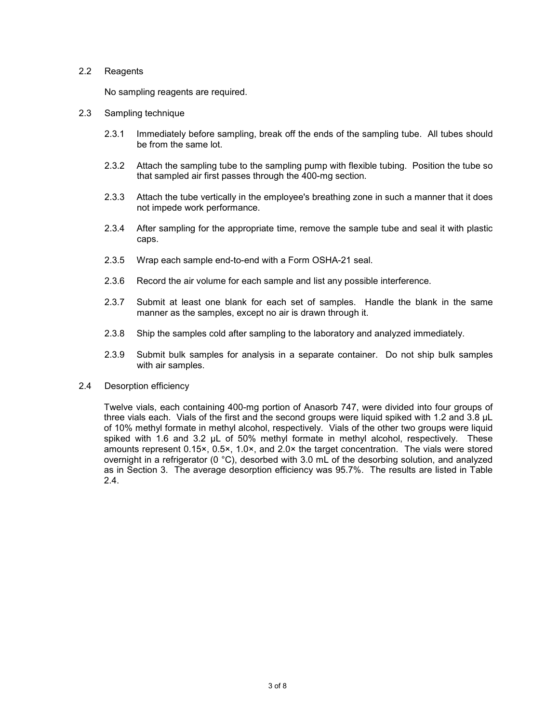## 2.2 Reagents

No sampling reagents are required.

- 2.3 Sampling technique
	- 2.3.1 Immediately before sampling, break off the ends of the sampling tube. All tubes should be from the same lot.
	- 2.3.2 Attach the sampling tube to the sampling pump with flexible tubing. Position the tube so that sampled air first passes through the 400-mg section.
	- 2.3.3 Attach the tube vertically in the employee's breathing zone in such a manner that it does not impede work performance.
	- 2.3.4 After sampling for the appropriate time, remove the sample tube and seal it with plastic caps.
	- 2.3.5 Wrap each sample end-to-end with a Form OSHA-21 seal.
	- 2.3.6 Record the air volume for each sample and list any possible interference.
	- 2.3.7 Submit at least one blank for each set of samples. Handle the blank in the same manner as the samples, except no air is drawn through it.
	- 2.3.8 Ship the samples cold after sampling to the laboratory and analyzed immediately.
	- 2.3.9 Submit bulk samples for analysis in a separate container. Do not ship bulk samples with air samples.
- 2.4 Desorption efficiency

Twelve vials, each containing 400-mg portion of Anasorb 747, were divided into four groups of three vials each. Vials of the first and the second groups were liquid spiked with 1.2 and 3.8 µL of 10% methyl formate in methyl alcohol, respectively. Vials of the other two groups were liquid spiked with 1.6 and 3.2 µL of 50% methyl formate in methyl alcohol, respectively. These amounts represent 0.15×, 0.5×, 1.0×, and 2.0× the target concentration. The vials were stored overnight in a refrigerator (0  $^{\circ}$ C), desorbed with 3.0 mL of the desorbing solution, and analyzed as in Section 3. The average desorption efficiency was 95.7%. The results are listed in Table 2.4.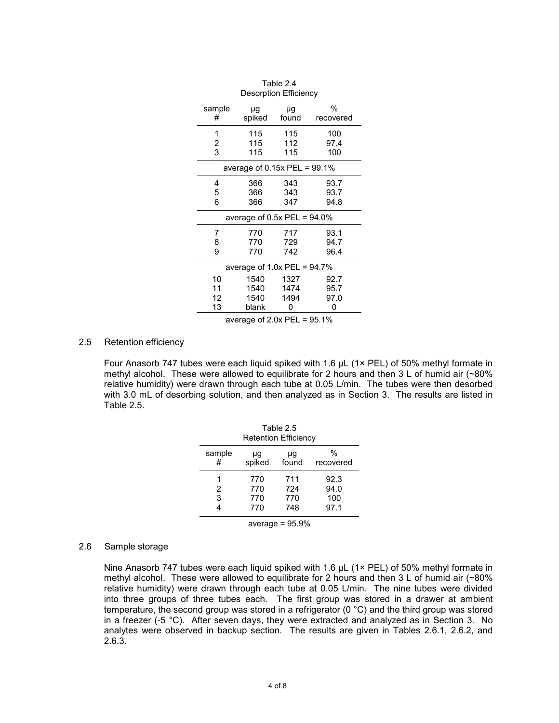| Table 2.4<br><b>Desorption Efficiency</b> |        |       |           |
|-------------------------------------------|--------|-------|-----------|
| sample                                    | μg     | μg    | %         |
| #                                         | spiked | found | recovered |
| 1                                         | 115    | 115   | 100       |
| 2                                         | 115    | 112   | 97.4      |
| 3                                         | 115    | 115   | 100       |
| average of $0.15x$ PEL = 99.1%            |        |       |           |
| 4                                         | 366    | 343   | 93.7      |
| 5                                         | 366    | 343   | 93.7      |
| 6                                         | 366    | 347   | 94.8      |
| average of 0.5x PEL = $94.0\%$            |        |       |           |
| 7                                         | 770    | 717   | 93.1      |
| 8                                         | 770    | 729   | 94.7      |
| 9                                         | 770    | 742   | 96.4      |
| average of $1.0x$ PEL = 94.7%             |        |       |           |
| 10                                        | 1540   | 1327  | 92.7      |
| 11                                        | 1540   | 1474  | 95.7      |
| 12                                        | 1540   | 1494  | 97.0      |
| 13                                        | blank  | 0     | 0         |

average of 2.0x PEL = 95.1%

## 2.5 Retention efficiency

Four Anasorb 747 tubes were each liquid spiked with 1.6 µL (1× PEL) of 50% methyl formate in methyl alcohol. These were allowed to equilibrate for 2 hours and then 3 L of humid air (~80% relative humidity) were drawn through each tube at 0.05 L/min. The tubes were then desorbed with 3.0 mL of desorbing solution, and then analyzed as in Section 3. The results are listed in Table 2.5.

| Table 2.5<br><b>Retention Efficiency</b> |                          |                          |                             |
|------------------------------------------|--------------------------|--------------------------|-----------------------------|
| sample<br>#                              | μg<br>spiked             | μg<br>found              | $\%$<br>recovered           |
| 2<br>3                                   | 770<br>770<br>770<br>770 | 711<br>724<br>770<br>748 | 92.3<br>94.0<br>100<br>97.1 |
| average = $95.9\%$                       |                          |                          |                             |

#### 2.6 Sample storage

Nine Anasorb 747 tubes were each liquid spiked with 1.6 µL (1× PEL) of 50% methyl formate in methyl alcohol. These were allowed to equilibrate for 2 hours and then 3 L of humid air (~80% relative humidity) were drawn through each tube at 0.05 L/min. The nine tubes were divided into three groups of three tubes each. The first group was stored in a drawer at ambient temperature, the second group was stored in a refrigerator (0 °C) and the third group was stored in a freezer (-5 °C). After seven days, they were extracted and analyzed as in Section 3. No analytes were observed in backup section. The results are given in Tables 2.6.1, 2.6.2, and 2.6.3.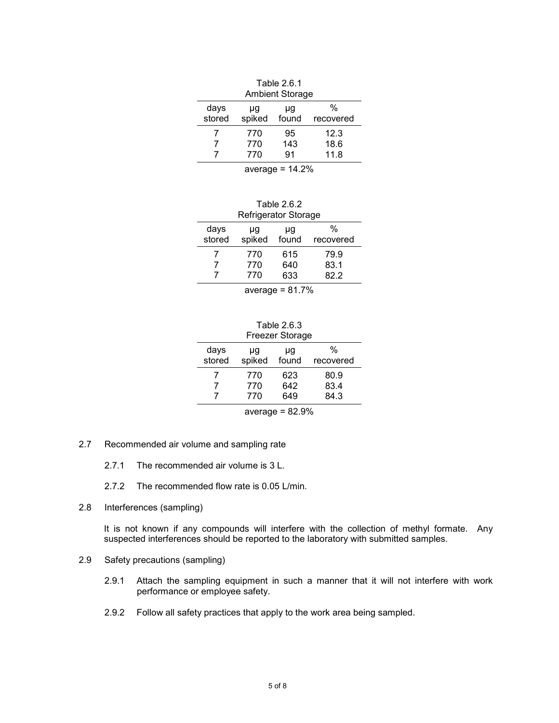| Table 2.6.1<br><b>Ambient Storage</b> |        |       |           |
|---------------------------------------|--------|-------|-----------|
| days<br>stored                        | μg     | μq    | %         |
|                                       | spiked | found | recovered |
|                                       | 770    | 95    | 12.3      |
|                                       | 770    | 143   | 18.6      |
|                                       | 770    | 91    | 11.8      |
|                                       |        |       |           |

average  $= 14.2%$ 

| Table 2.6.2          |  |
|----------------------|--|
| Refrigerator Storage |  |

| μg<br>spiked | μg<br>found | %<br>recovered |
|--------------|-------------|----------------|
| 770          | 615         | 79.9           |
| 770          | 640         | 83.1           |
| 770          | 633         | 82 2           |
|              |             |                |

average  $= 81.7\%$ 

Table 2.6.3 Freezer Storage

| days<br>stored     | μq<br>spiked | μg<br>found | %<br>recovered |
|--------------------|--------------|-------------|----------------|
|                    | 770          | 623         | 80.9           |
|                    | 770          | 642         | 83.4           |
|                    | 770          | 649         | 84.3           |
| average = $82.9\%$ |              |             |                |

- 2.7 Recommended air volume and sampling rate
	- 2.7.1 The recommended air volume is 3 L.
	- 2.7.2 The recommended flow rate is 0.05 L/min.
- 2.8 Interferences (sampling)

It is not known if any compounds will interfere with the collection of methyl formate. Any suspected interferences should be reported to the laboratory with submitted samples.

- 2.9 Safety precautions (sampling)
	- 2.9.1 Attach the sampling equipment in such a manner that it will not interfere with work performance or employee safety.
	- 2.9.2 Follow all safety practices that apply to the work area being sampled.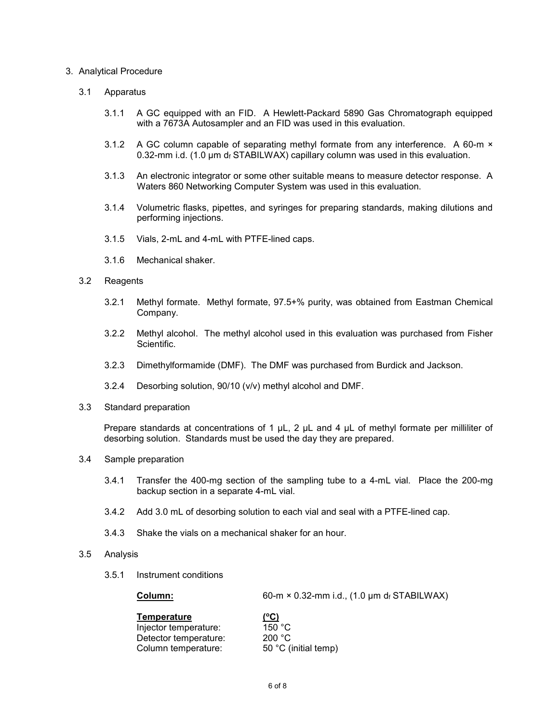## 3. Analytical Procedure

## 3.1 Apparatus

- 3.1.1 A GC equipped with an FID. A Hewlett-Packard 5890 Gas Chromatograph equipped with a 7673A Autosampler and an FID was used in this evaluation.
- 3.1.2 A GC column capable of separating methyl formate from any interference. A 60-m × 0.32-mm i.d. (1.0  $\mu$ m df STABILWAX) capillary column was used in this evaluation.
- 3.1.3 An electronic integrator or some other suitable means to measure detector response. A Waters 860 Networking Computer System was used in this evaluation.
- 3.1.4 Volumetric flasks, pipettes, and syringes for preparing standards, making dilutions and performing injections.
- 3.1.5 Vials, 2-mL and 4-mL with PTFE-lined caps.
- 3.1.6 Mechanical shaker.
- 3.2 Reagents
	- 3.2.1 Methyl formate. Methyl formate, 97.5+% purity, was obtained from Eastman Chemical Company.
	- 3.2.2 Methyl alcohol. The methyl alcohol used in this evaluation was purchased from Fisher Scientific.
	- 3.2.3 Dimethylformamide (DMF). The DMF was purchased from Burdick and Jackson.
	- 3.2.4 Desorbing solution, 90/10 (v/v) methyl alcohol and DMF.
- 3.3 Standard preparation

Prepare standards at concentrations of 1  $\mu$ L, 2  $\mu$ L and 4  $\mu$ L of methyl formate per milliliter of desorbing solution. Standards must be used the day they are prepared.

- 3.4 Sample preparation
	- 3.4.1 Transfer the 400-mg section of the sampling tube to a 4-mL vial. Place the 200-mg backup section in a separate 4-mL vial.
	- 3.4.2 Add 3.0 mL of desorbing solution to each vial and seal with a PTFE-lined cap.
	- 3.4.3 Shake the vials on a mechanical shaker for an hour.
- 3.5 Analysis
	- 3.5.1 Instrument conditions

**Column:** 60-m × 0.32-mm i.d., (1.0 µm df STABILWAX)

| (°C)                 |
|----------------------|
| 150 °C               |
| 200 °C               |
| 50 °C (initial temp) |
|                      |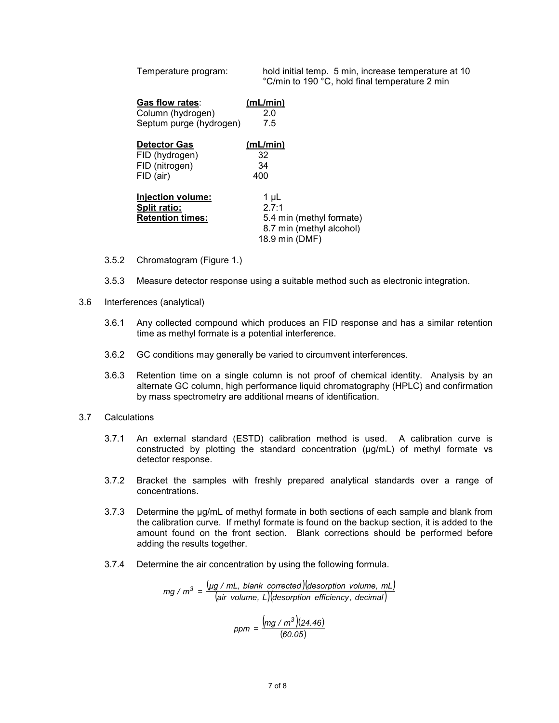| Temperature program:                                                | hold initial temp. 5 min, increase temperature at 10<br>°C/min to 190 °C, hold final temperature 2 min |
|---------------------------------------------------------------------|--------------------------------------------------------------------------------------------------------|
| Gas flow rates:                                                     | (mL/min)                                                                                               |
| Column (hydrogen)                                                   | 2.0                                                                                                    |
| Septum purge (hydrogen)                                             | 7.5                                                                                                    |
| <b>Detector Gas</b>                                                 | (mL/min)                                                                                               |
| FID (hydrogen)                                                      | 32                                                                                                     |
| FID (nitrogen)                                                      | 34                                                                                                     |
| FID (air)                                                           | 400                                                                                                    |
| Injection volume:<br><b>Split ratio:</b><br><b>Retention times:</b> | 1 µL<br>2.7:1<br>5.4 min (methyl formate)<br>8.7 min (methyl alcohol)<br>18.9 min (DMF)                |

- 3.5.2 Chromatogram (Figure 1.)
- 3.5.3 Measure detector response using a suitable method such as electronic integration.
- 3.6 Interferences (analytical)
	- 3.6.1 Any collected compound which produces an FID response and has a similar retention time as methyl formate is a potential interference.
	- 3.6.2 GC conditions may generally be varied to circumvent interferences.
	- 3.6.3 Retention time on a single column is not proof of chemical identity. Analysis by an alternate GC column, high performance liquid chromatography (HPLC) and confirmation by mass spectrometry are additional means of identification.
- 3.7 Calculations
	- 3.7.1 An external standard (ESTD) calibration method is used. A calibration curve is constructed by plotting the standard concentration (µg/mL) of methyl formate vs detector response.
	- 3.7.2 Bracket the samples with freshly prepared analytical standards over a range of concentrations.
	- 3.7.3 Determine the µg/mL of methyl formate in both sections of each sample and blank from the calibration curve. If methyl formate is found on the backup section, it is added to the amount found on the front section. Blank corrections should be performed before adding the results together.
	- 3.7.4 Determine the air concentration by using the following formula.

 $(\mu g \nmid mL, b$ lank corrected) desorption volume, mL (*air volume, L*)(*desorption efficiency , decimal*) *mg* /  $m^3 = \frac{(\mu g / mL, blank\ correct) (\text{desorption volume}, mL)}{(\text{size values} / \text{dissimation of}})$ 

$$
ppm = \frac{(mg/m^3)(24.46)}{(60.05)}
$$